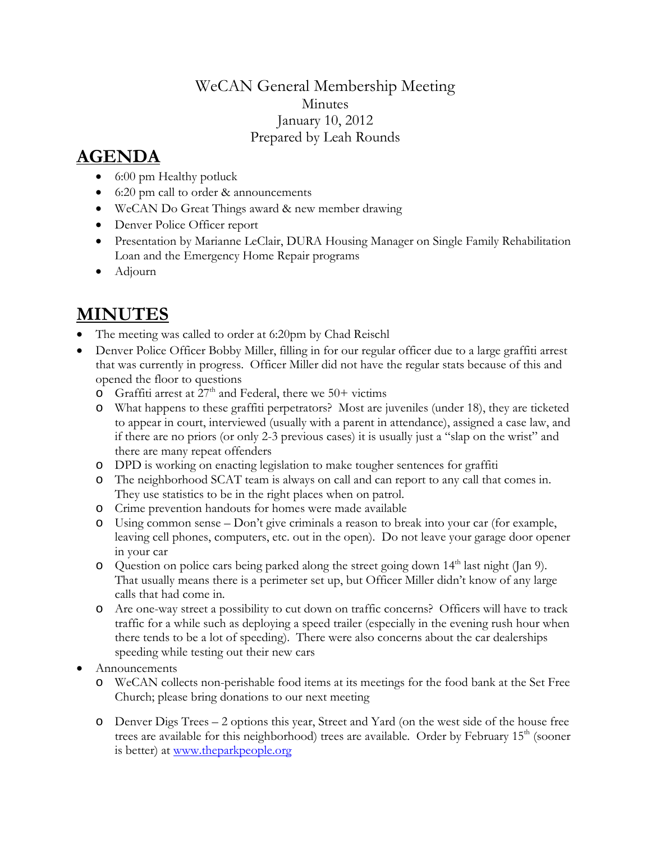## WeCAN General Membership Meeting **Minutes** January 10, 2012 Prepared by Leah Rounds

## **AGENDA**

- 6:00 pm Healthy potluck
- 6:20 pm call to order & announcements
- WeCAN Do Great Things award & new member drawing
- Denver Police Officer report
- Presentation by Marianne LeClair, DURA Housing Manager on Single Family Rehabilitation Loan and the Emergency Home Repair programs
- Adjourn

## **MINUTES**

- The meeting was called to order at 6:20pm by Chad Reischl
- Denver Police Officer Bobby Miller, filling in for our regular officer due to a large graffiti arrest that was currently in progress. Officer Miller did not have the regular stats because of this and opened the floor to questions
	- $\circ$  Graffiti arrest at  $27<sup>th</sup>$  and Federal, there we 50+ victims
	- o What happens to these graffiti perpetrators? Most are juveniles (under 18), they are ticketed to appear in court, interviewed (usually with a parent in attendance), assigned a case law, and if there are no priors (or only 2-3 previous cases) it is usually just a "slap on the wrist" and there are many repeat offenders
	- o DPD is working on enacting legislation to make tougher sentences for graffiti
	- o The neighborhood SCAT team is always on call and can report to any call that comes in. They use statistics to be in the right places when on patrol.
	- o Crime prevention handouts for homes were made available
	- o Using common sense Don't give criminals a reason to break into your car (for example, leaving cell phones, computers, etc. out in the open). Do not leave your garage door opener in your car
	- $\circ$  Question on police cars being parked along the street going down 14<sup>th</sup> last night (Jan 9). That usually means there is a perimeter set up, but Officer Miller didn't know of any large calls that had come in.
	- o Are one-way street a possibility to cut down on traffic concerns? Officers will have to track traffic for a while such as deploying a speed trailer (especially in the evening rush hour when there tends to be a lot of speeding). There were also concerns about the car dealerships speeding while testing out their new cars
- Announcements
	- o WeCAN collects non-perishable food items at its meetings for the food bank at the Set Free Church; please bring donations to our next meeting
	- o Denver Digs Trees 2 options this year, Street and Yard (on the west side of the house free trees are available for this neighborhood) trees are available. Order by February  $15<sup>th</sup>$  (sooner is better) at [www.theparkpeople.org](http://www.theparkpeople.org/)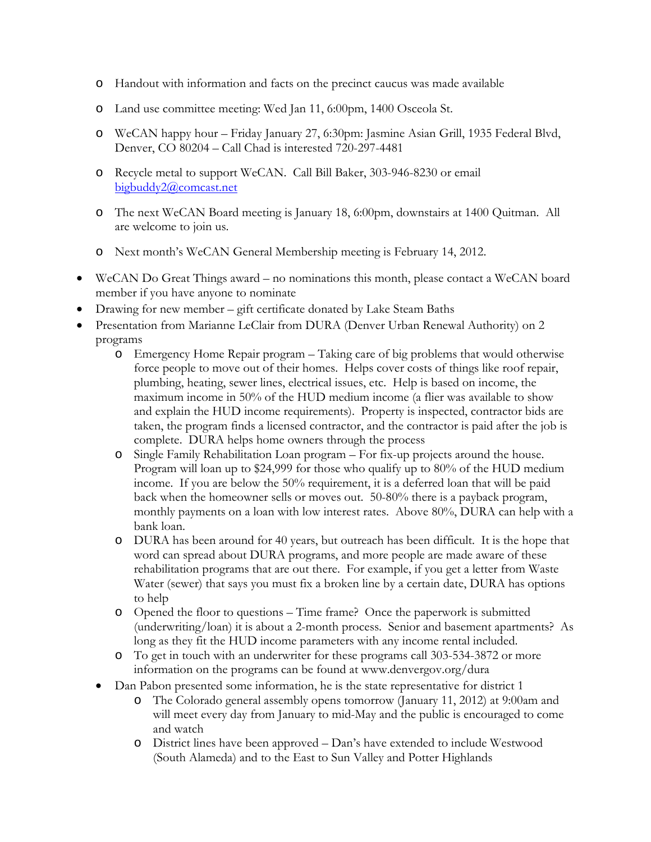- o Handout with information and facts on the precinct caucus was made available
- o Land use committee meeting: Wed Jan 11, 6:00pm, 1400 Osceola St.
- o WeCAN happy hour Friday January 27, 6:30pm: Jasmine Asian Grill, 1935 Federal Blvd, Denver, CO 80204 – Call Chad is interested 720-297-4481
- o Recycle metal to support WeCAN. Call Bill Baker, 303-946-8230 or email bigbuddy2@comcast.net
- o The next WeCAN Board meeting is January 18, 6:00pm, downstairs at 1400 Quitman. All are welcome to join us.
- o Next month's WeCAN General Membership meeting is February 14, 2012.
- WeCAN Do Great Things award no nominations this month, please contact a WeCAN board member if you have anyone to nominate
- Drawing for new member gift certificate donated by Lake Steam Baths
- Presentation from Marianne LeClair from DURA (Denver Urban Renewal Authority) on 2 programs
	- o Emergency Home Repair program Taking care of big problems that would otherwise force people to move out of their homes. Helps cover costs of things like roof repair, plumbing, heating, sewer lines, electrical issues, etc. Help is based on income, the maximum income in 50% of the HUD medium income (a flier was available to show and explain the HUD income requirements). Property is inspected, contractor bids are taken, the program finds a licensed contractor, and the contractor is paid after the job is complete. DURA helps home owners through the process
	- o Single Family Rehabilitation Loan program For fix-up projects around the house. Program will loan up to \$24,999 for those who qualify up to 80% of the HUD medium income. If you are below the 50% requirement, it is a deferred loan that will be paid back when the homeowner sells or moves out. 50-80% there is a payback program, monthly payments on a loan with low interest rates. Above 80%, DURA can help with a bank loan.
	- o DURA has been around for 40 years, but outreach has been difficult. It is the hope that word can spread about DURA programs, and more people are made aware of these rehabilitation programs that are out there. For example, if you get a letter from Waste Water (sewer) that says you must fix a broken line by a certain date, DURA has options to help
	- o Opened the floor to questions Time frame? Once the paperwork is submitted (underwriting/loan) it is about a 2-month process. Senior and basement apartments? As long as they fit the HUD income parameters with any income rental included.
	- o To get in touch with an underwriter for these programs call 303-534-3872 or more information on the programs can be found at www.denvergov.org/dura
	- Dan Pabon presented some information, he is the state representative for district 1
		- o The Colorado general assembly opens tomorrow (January 11, 2012) at 9:00am and will meet every day from January to mid-May and the public is encouraged to come and watch
		- o District lines have been approved Dan's have extended to include Westwood (South Alameda) and to the East to Sun Valley and Potter Highlands